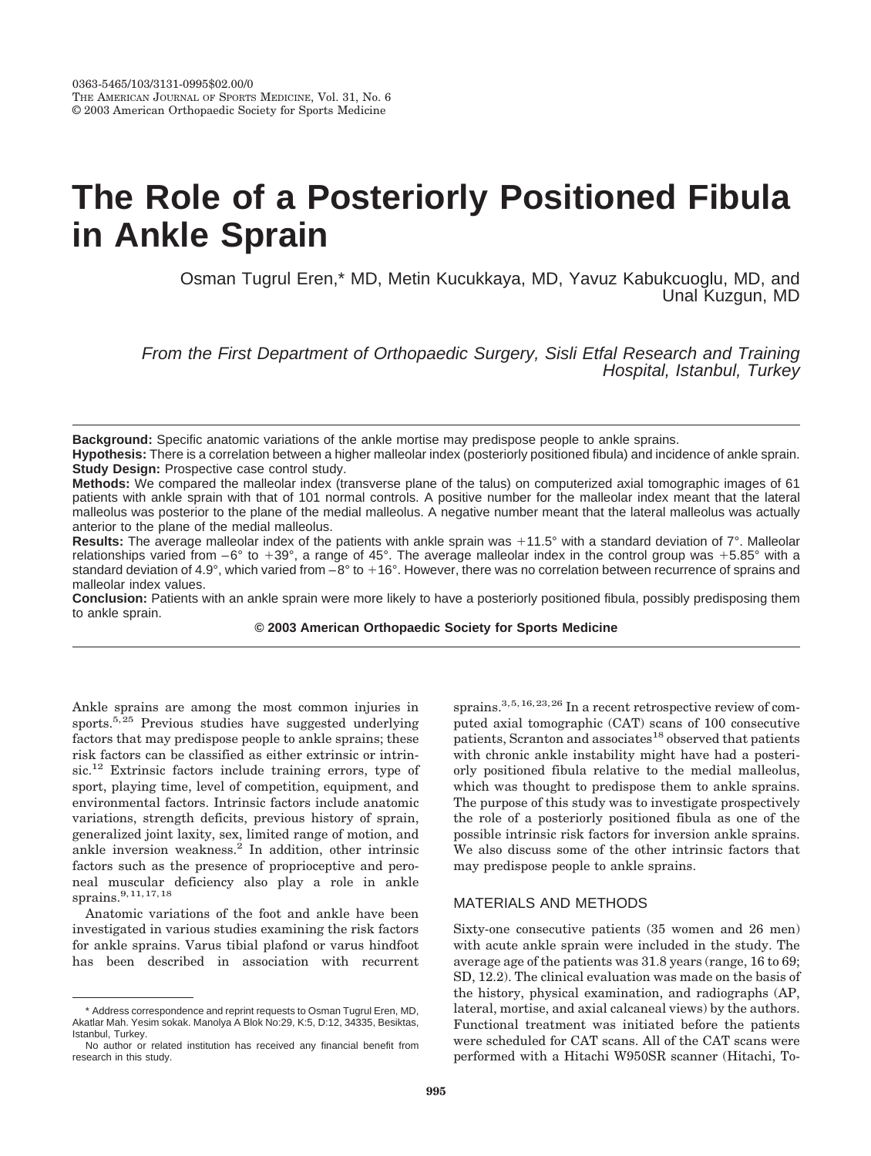# **The Role of a Posteriorly Positioned Fibula in Ankle Sprain**

Osman Tugrul Eren,\* MD, Metin Kucukkaya, MD, Yavuz Kabukcuoglu, MD, and Unal Kuzgun, MD

From the First Department of Orthopaedic Surgery, Sisli Etfal Research and Training Hospital, Istanbul, Turkey

**Background:** Specific anatomic variations of the ankle mortise may predispose people to ankle sprains.

**Hypothesis:** There is a correlation between a higher malleolar index (posteriorly positioned fibula) and incidence of ankle sprain. **Study Design: Prospective case control study.** 

**Methods:** We compared the malleolar index (transverse plane of the talus) on computerized axial tomographic images of 61 patients with ankle sprain with that of 101 normal controls. A positive number for the malleolar index meant that the lateral malleolus was posterior to the plane of the medial malleolus. A negative number meant that the lateral malleolus was actually anterior to the plane of the medial malleolus.

Results: The average malleolar index of the patients with ankle sprain was +11.5° with a standard deviation of 7°. Malleolar relationships varied from  $-6^{\circ}$  to  $+39^{\circ}$ , a range of 45°. The average malleolar index in the control group was  $+5.85^{\circ}$  with a standard deviation of 4.9°, which varied from  $-8^\circ$  to  $+16^\circ$ . However, there was no correlation between recurrence of sprains and malleolar index values.

**Conclusion:** Patients with an ankle sprain were more likely to have a posteriorly positioned fibula, possibly predisposing them to ankle sprain.

**© 2003 American Orthopaedic Society for Sports Medicine**

Ankle sprains are among the most common injuries in sports.5,25 Previous studies have suggested underlying factors that may predispose people to ankle sprains; these risk factors can be classified as either extrinsic or intrinsic.<sup>12</sup> Extrinsic factors include training errors, type of sport, playing time, level of competition, equipment, and environmental factors. Intrinsic factors include anatomic variations, strength deficits, previous history of sprain, generalized joint laxity, sex, limited range of motion, and ankle inversion weakness.<sup>2</sup> In addition, other intrinsic factors such as the presence of proprioceptive and peroneal muscular deficiency also play a role in ankle sprains.<sup>9,11,17,18</sup>

Anatomic variations of the foot and ankle have been investigated in various studies examining the risk factors for ankle sprains. Varus tibial plafond or varus hindfoot has been described in association with recurrent

sprains.<sup>3,5,16,23,26</sup> In a recent retrospective review of computed axial tomographic (CAT) scans of 100 consecutive patients, Scranton and associates<sup>18</sup> observed that patients with chronic ankle instability might have had a posteriorly positioned fibula relative to the medial malleolus, which was thought to predispose them to ankle sprains. The purpose of this study was to investigate prospectively the role of a posteriorly positioned fibula as one of the possible intrinsic risk factors for inversion ankle sprains. We also discuss some of the other intrinsic factors that may predispose people to ankle sprains.

## MATERIALS AND METHODS

Sixty-one consecutive patients (35 women and 26 men) with acute ankle sprain were included in the study. The average age of the patients was 31.8 years (range, 16 to 69; SD, 12.2). The clinical evaluation was made on the basis of the history, physical examination, and radiographs (AP, lateral, mortise, and axial calcaneal views) by the authors. Functional treatment was initiated before the patients were scheduled for CAT scans. All of the CAT scans were performed with a Hitachi W950SR scanner (Hitachi, To-

<sup>\*</sup> Address correspondence and reprint requests to Osman Tugrul Eren, MD, Akatlar Mah. Yesim sokak. Manolya A Blok No:29, K:5, D:12, 34335, Besiktas, Istanbul, Turkey.

No author or related institution has received any financial benefit from research in this study.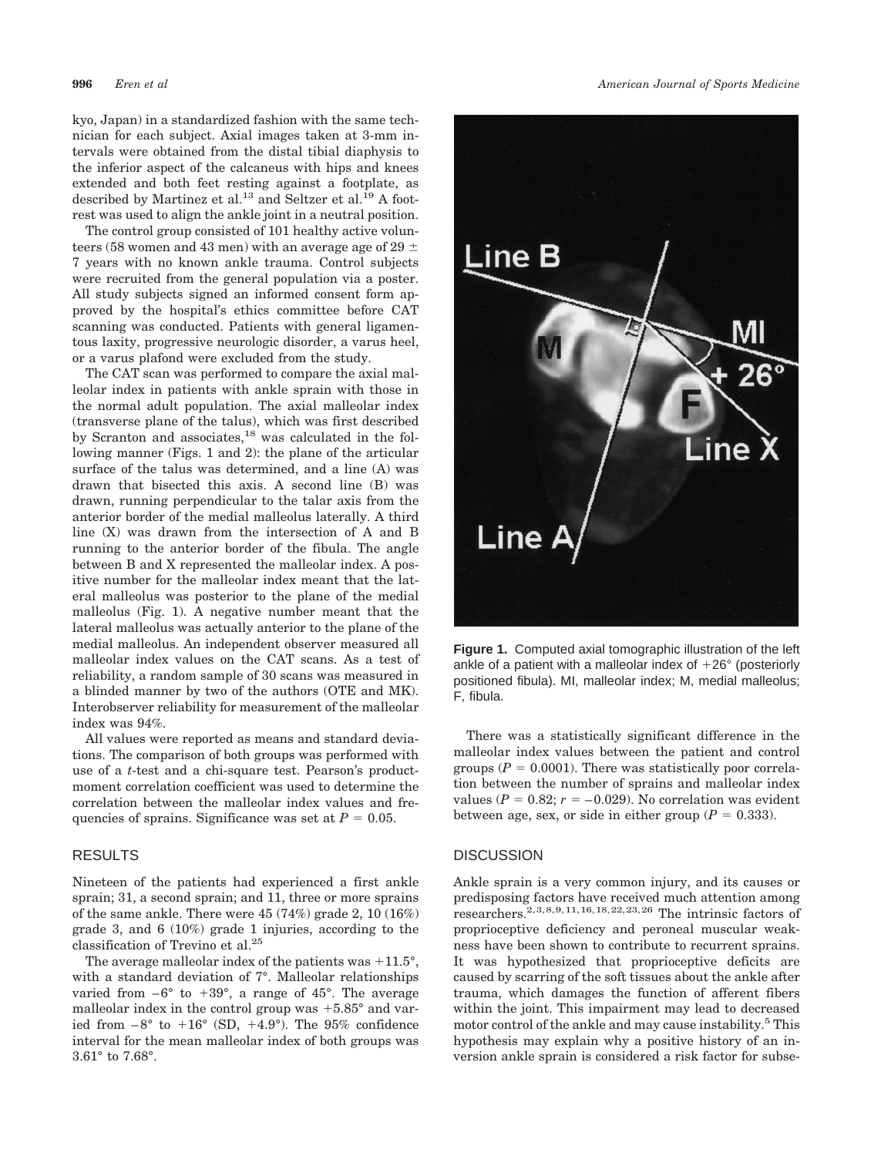kyo, Japan) in a standardized fashion with the same technician for each subject. Axial images taken at 3-mm intervals were obtained from the distal tibial diaphysis to the inferior aspect of the calcaneus with hips and knees extended and both feet resting against a footplate, as described by Martinez et al.<sup>13</sup> and Seltzer et al.<sup>19</sup> A footrest was used to align the ankle joint in a neutral position.

The control group consisted of 101 healthy active volunteers (58 women and 43 men) with an average age of 29  $\pm$ 7 years with no known ankle trauma. Control subjects were recruited from the general population via a poster. All study subjects signed an informed consent form approved by the hospital's ethics committee before CAT scanning was conducted. Patients with general ligamentous laxity, progressive neurologic disorder, a varus heel, or a varus plafond were excluded from the study.

The CAT scan was performed to compare the axial malleolar index in patients with ankle sprain with those in the normal adult population. The axial malleolar index (transverse plane of the talus), which was first described by Scranton and associates,<sup>18</sup> was calculated in the following manner (Figs. 1 and 2): the plane of the articular surface of the talus was determined, and a line (A) was drawn that bisected this axis. A second line (B) was drawn, running perpendicular to the talar axis from the anterior border of the medial malleolus laterally. A third line (X) was drawn from the intersection of A and B running to the anterior border of the fibula. The angle between B and X represented the malleolar index. A positive number for the malleolar index meant that the lateral malleolus was posterior to the plane of the medial malleolus (Fig. 1). A negative number meant that the lateral malleolus was actually anterior to the plane of the medial malleolus. An independent observer measured all malleolar index values on the CAT scans. As a test of reliability, a random sample of 30 scans was measured in a blinded manner by two of the authors (OTE and MK). Interobserver reliability for measurement of the malleolar index was 94%.

All values were reported as means and standard deviations. The comparison of both groups was performed with use of a *t*-test and a chi-square test. Pearson's productmoment correlation coefficient was used to determine the correlation between the malleolar index values and frequencies of sprains. Significance was set at  $P = 0.05$ .

#### RESULTS

Nineteen of the patients had experienced a first ankle sprain; 31, a second sprain; and 11, three or more sprains of the same ankle. There were 45 (74%) grade 2, 10 (16%) grade 3, and 6 (10%) grade 1 injuries, according to the classification of Trevino et al.25

The average malleolar index of the patients was  $+11.5^{\circ}$ , with a standard deviation of 7°. Malleolar relationships varied from  $-6^{\circ}$  to  $+39^{\circ}$ , a range of 45°. The average malleolar index in the control group was  $+5.85^{\circ}$  and varied from  $-8^{\circ}$  to  $+16^{\circ}$  (SD,  $+4.9^{\circ}$ ). The 95% confidence interval for the mean malleolar index of both groups was 3.61° to 7.68°.



**Figure 1.** Computed axial tomographic illustration of the left ankle of a patient with a malleolar index of  $+26^{\circ}$  (posteriorly positioned fibula). MI, malleolar index; M, medial malleolus; F, fibula.

There was a statistically significant difference in the malleolar index values between the patient and control groups ( $P = 0.0001$ ). There was statistically poor correlation between the number of sprains and malleolar index values ( $P = 0.82$ ;  $r = -0.029$ ). No correlation was evident between age, sex, or side in either group  $(P = 0.333)$ .

### **DISCUSSION**

Ankle sprain is a very common injury, and its causes or predisposing factors have received much attention among researchers.<sup>2,3,8,9,11,16,18,22,23,26</sup> The intrinsic factors of proprioceptive deficiency and peroneal muscular weakness have been shown to contribute to recurrent sprains. It was hypothesized that proprioceptive deficits are caused by scarring of the soft tissues about the ankle after trauma, which damages the function of afferent fibers within the joint. This impairment may lead to decreased motor control of the ankle and may cause instability.<sup>5</sup> This hypothesis may explain why a positive history of an inversion ankle sprain is considered a risk factor for subse-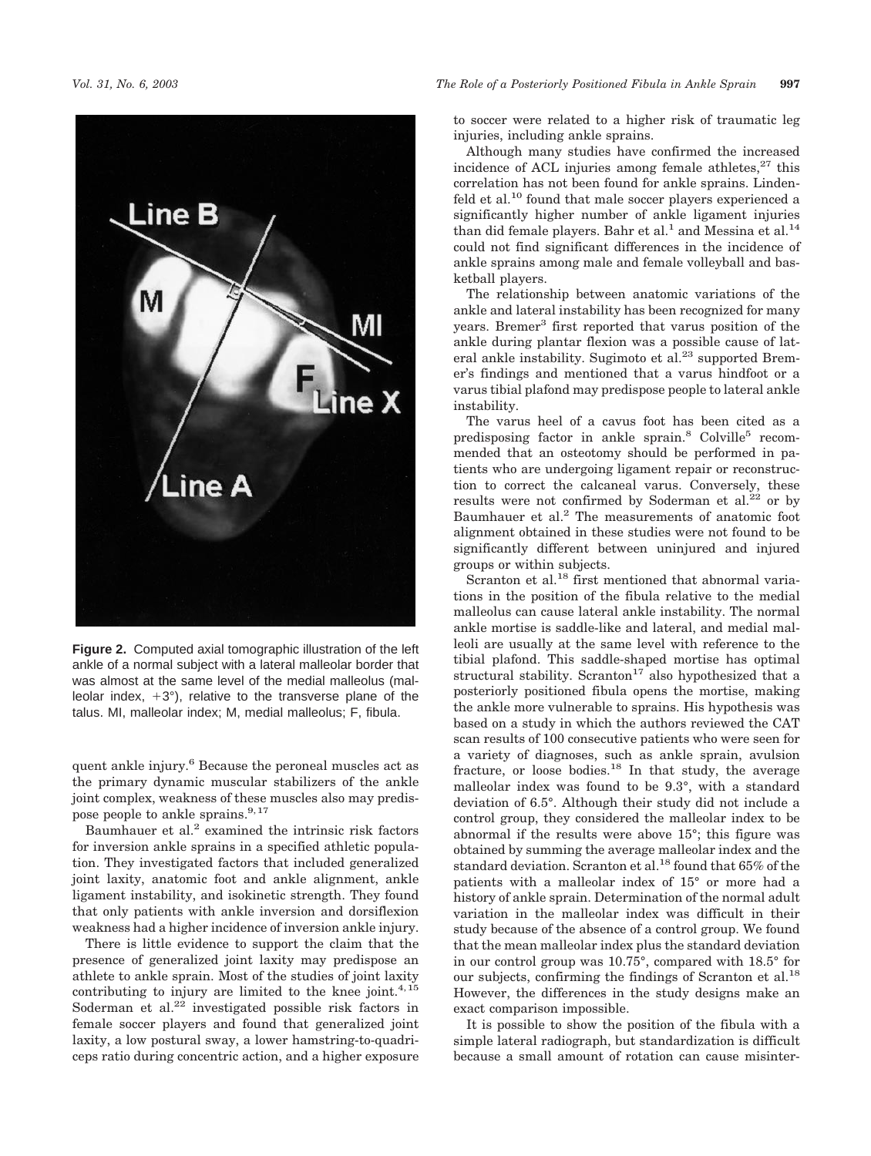

**Figure 2.** Computed axial tomographic illustration of the left ankle of a normal subject with a lateral malleolar border that was almost at the same level of the medial malleolus (malleolar index,  $+3^{\circ}$ ), relative to the transverse plane of the talus. MI, malleolar index; M, medial malleolus; F, fibula.

quent ankle injury.6 Because the peroneal muscles act as the primary dynamic muscular stabilizers of the ankle joint complex, weakness of these muscles also may predispose people to ankle sprains.<sup>9,17</sup>

Baumhauer et al.<sup>2</sup> examined the intrinsic risk factors for inversion ankle sprains in a specified athletic population. They investigated factors that included generalized joint laxity, anatomic foot and ankle alignment, ankle ligament instability, and isokinetic strength. They found that only patients with ankle inversion and dorsiflexion weakness had a higher incidence of inversion ankle injury.

There is little evidence to support the claim that the presence of generalized joint laxity may predispose an athlete to ankle sprain. Most of the studies of joint laxity contributing to injury are limited to the knee joint. $4,15$ Soderman et al. $2^2$  investigated possible risk factors in female soccer players and found that generalized joint laxity, a low postural sway, a lower hamstring-to-quadriceps ratio during concentric action, and a higher exposure to soccer were related to a higher risk of traumatic leg injuries, including ankle sprains.

Although many studies have confirmed the increased incidence of ACL injuries among female athletes, $27$  this correlation has not been found for ankle sprains. Lindenfeld et al.10 found that male soccer players experienced a significantly higher number of ankle ligament injuries than did female players. Bahr et al.<sup>1</sup> and Messina et al.<sup>14</sup> could not find significant differences in the incidence of ankle sprains among male and female volleyball and basketball players.

The relationship between anatomic variations of the ankle and lateral instability has been recognized for many years. Bremer<sup>3</sup> first reported that varus position of the ankle during plantar flexion was a possible cause of lateral ankle instability. Sugimoto et al.<sup>23</sup> supported Bremer's findings and mentioned that a varus hindfoot or a varus tibial plafond may predispose people to lateral ankle instability.

The varus heel of a cavus foot has been cited as a predisposing factor in ankle sprain.<sup>8</sup> Colville<sup>5</sup> recommended that an osteotomy should be performed in patients who are undergoing ligament repair or reconstruction to correct the calcaneal varus. Conversely, these results were not confirmed by Soderman et al.<sup>22</sup> or by Baumhauer et al.2 The measurements of anatomic foot alignment obtained in these studies were not found to be significantly different between uninjured and injured groups or within subjects.

Scranton et al.<sup>18</sup> first mentioned that abnormal variations in the position of the fibula relative to the medial malleolus can cause lateral ankle instability. The normal ankle mortise is saddle-like and lateral, and medial malleoli are usually at the same level with reference to the tibial plafond. This saddle-shaped mortise has optimal structural stability. Scranton<sup>17</sup> also hypothesized that a posteriorly positioned fibula opens the mortise, making the ankle more vulnerable to sprains. His hypothesis was based on a study in which the authors reviewed the CAT scan results of 100 consecutive patients who were seen for a variety of diagnoses, such as ankle sprain, avulsion fracture, or loose bodies. $18$  In that study, the average malleolar index was found to be 9.3°, with a standard deviation of 6.5°. Although their study did not include a control group, they considered the malleolar index to be abnormal if the results were above 15°; this figure was obtained by summing the average malleolar index and the standard deviation. Scranton et al.18 found that 65% of the patients with a malleolar index of 15° or more had a history of ankle sprain. Determination of the normal adult variation in the malleolar index was difficult in their study because of the absence of a control group. We found that the mean malleolar index plus the standard deviation in our control group was 10.75°, compared with 18.5° for our subjects, confirming the findings of Scranton et al.<sup>18</sup> However, the differences in the study designs make an exact comparison impossible.

It is possible to show the position of the fibula with a simple lateral radiograph, but standardization is difficult because a small amount of rotation can cause misinter